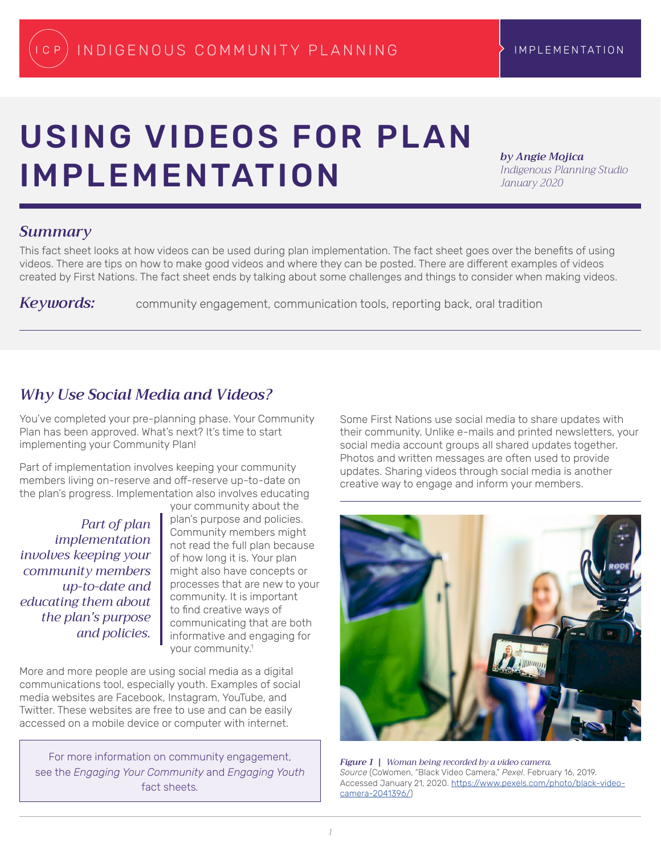# <span id="page-0-0"></span>USING VIDEOS FOR PLAN IMPLEMENTATION

*by Angie Mojica Indigenous Planning Studio January 2020*

## *Summary*

This fact sheet looks at how videos can be used during plan implementation. The fact sheet goes over the benefits of using videos. There are tips on how to make good videos and where they can be posted. There are different examples of videos created by First Nations. The fact sheet ends by talking about some challenges and things to consider when making videos.

**Keywords:** community engagement, communication tools, reporting back, oral tradition

# *Why Use Social Media and Videos?*

You've completed your pre-planning phase. Your Community Plan has been approved. What's next? It's time to start implementing your Community Plan!

Part of implementation involves keeping your community members living on-reserve and off-reserve up-to-date on the plan's progress. Implementation also involves educating

*Part of plan implementation involves keeping your community members up-to-date and educating them about the plan's purpose and policies.*

your community about the plan's purpose and policies. Community members might not read the full plan because of how long it is. Your plan might also have concepts or processes that are new to your community. It is important to find creative ways of communicating that are both informative and engaging for your community[.1](#page-4-0)

More and more people are using social media as a digital communications tool, especially youth. Examples of social media websites are Facebook, Instagram, YouTube, and Twitter. These websites are free to use and can be easily accessed on a mobile device or computer with internet.

For more information on community engagement, see the *Engaging Your Community* and *Engaging Youth*  fact sheets*.*

Some First Nations use social media to share updates with their community. Unlike e-mails and printed newsletters, your social media account groups all shared updates together. Photos and written messages are often used to provide updates. Sharing videos through social media is another creative way to engage and inform your members.



*Figure 1 | Woman being recorded by a video camera. Source* (CoWomen, "Black Video Camera," *Pexel*. February 16, 2019. Accessed January 21, 2020. [https://www.pexels.com/photo/black-video](https://www.pexels.com/photo/black-video-camera-2041396/)[camera-2041396/](https://www.pexels.com/photo/black-video-camera-2041396/))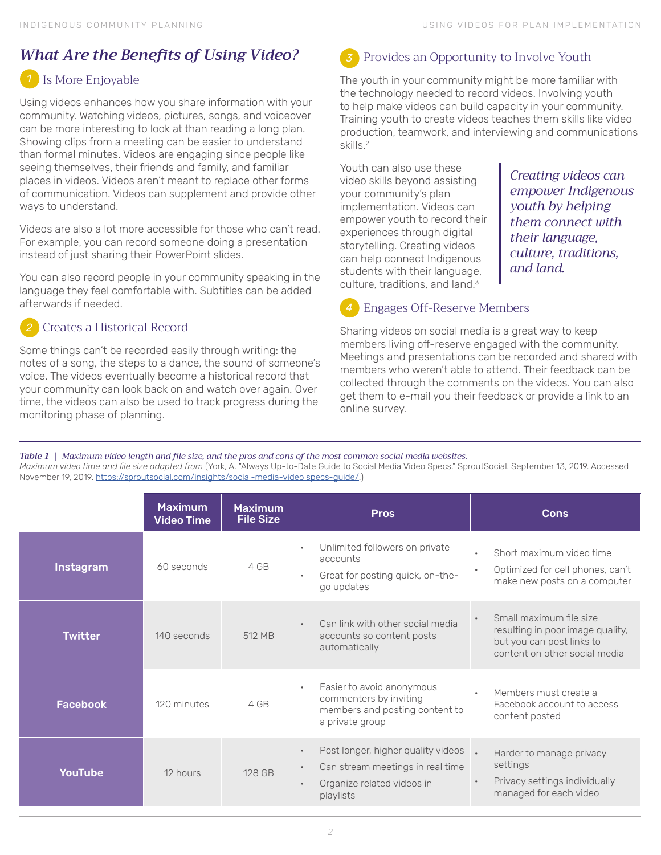# <span id="page-1-0"></span>*What Are the Benefits of Using Video?*

#### Is More Enjoyable *1*

Using videos enhances how you share information with your community. Watching videos, pictures, songs, and voiceover can be more interesting to look at than reading a long plan. Showing clips from a meeting can be easier to understand than formal minutes. Videos are engaging since people like seeing themselves, their friends and family, and familiar places in videos. Videos aren't meant to replace other forms of communication. Videos can supplement and provide other ways to understand.

Videos are also a lot more accessible for those who can't read. For example, you can record someone doing a presentation instead of just sharing their PowerPoint slides.

You can also record people in your community speaking in the language they feel comfortable with. Subtitles can be added afterwards if needed.

#### Creates a Historical Record *2*

Some things can't be recorded easily through writing: the notes of a song, the steps to a dance, the sound of someone's voice. The videos eventually become a historical record that your community can look back on and watch over again. Over time, the videos can also be used to track progress during the monitoring phase of planning.

## Provides an Opportunity to Involve Youth

The youth in your community might be more familiar with the technology needed to record videos. Involving youth to help make videos can build capacity in your community. Training youth to create videos teaches them skills like video production, teamwork, and interviewing and communications skills.[2](#page-4-0)

Youth can also use these video skills beyond assisting your community's plan implementation. Videos can empower youth to record their experiences through digital storytelling. Creating videos can help connect Indigenous students with their language, culture, traditions, and land.<sup>3</sup>

*Creating videos can empower Indigenous youth by helping them connect with their language, culture, traditions, and land.*

#### Engages Off-Reserve Members *4*

Sharing videos on social media is a great way to keep members living off-reserve engaged with the community. Meetings and presentations can be recorded and shared with members who weren't able to attend. Their feedback can be collected through the comments on the videos. You can also get them to e-mail you their feedback or provide a link to an online survey.

*Table 1 | Maximum video length and file size, and the pros and cons of the most common social media websites. Maximum video time and file size adapted from* (York, A. "Always Up-to-Date Guide to Social Media Video Specs." SproutSocial. September 13, 2019. Accessed November 19, 2019. [https://sproutsocial.com/insights/social-media-video specs-guide/.](https://sproutsocial.com/insights/social-media-video specs-guide/))

|                 | <b>Maximum</b><br><b>Video Time</b> | <b>Maximum</b><br><b>File Size</b> | <b>Pros</b>                                                                                                                    | <b>Cons</b>                                                                                                               |
|-----------------|-------------------------------------|------------------------------------|--------------------------------------------------------------------------------------------------------------------------------|---------------------------------------------------------------------------------------------------------------------------|
| Instagram       | 60 seconds                          | 4 GB                               | Unlimited followers on private<br>accounts<br>Great for posting quick, on-the-<br>$\bullet$<br>go updates                      | Short maximum video time<br>$\bullet$<br>Optimized for cell phones, can't<br>$\bullet$<br>make new posts on a computer    |
| <b>Twitter</b>  | 140 seconds                         | 512 MB                             | Can link with other social media<br>accounts so content posts<br>automatically                                                 | Small maximum file size<br>resulting in poor image quality,<br>but you can post links to<br>content on other social media |
| <b>Facebook</b> | 120 minutes                         | 4 GB                               | Easier to avoid anonymous<br>commenters by inviting<br>members and posting content to<br>a private group                       | Members must create a<br>Facebook account to access<br>content posted                                                     |
| <b>YouTube</b>  | 12 hours                            | 128 GB                             | Post longer, higher quality videos<br>Can stream meetings in real time<br>$\bullet$<br>Organize related videos in<br>playlists | Harder to manage privacy<br>settings<br>Privacy settings individually<br>managed for each video                           |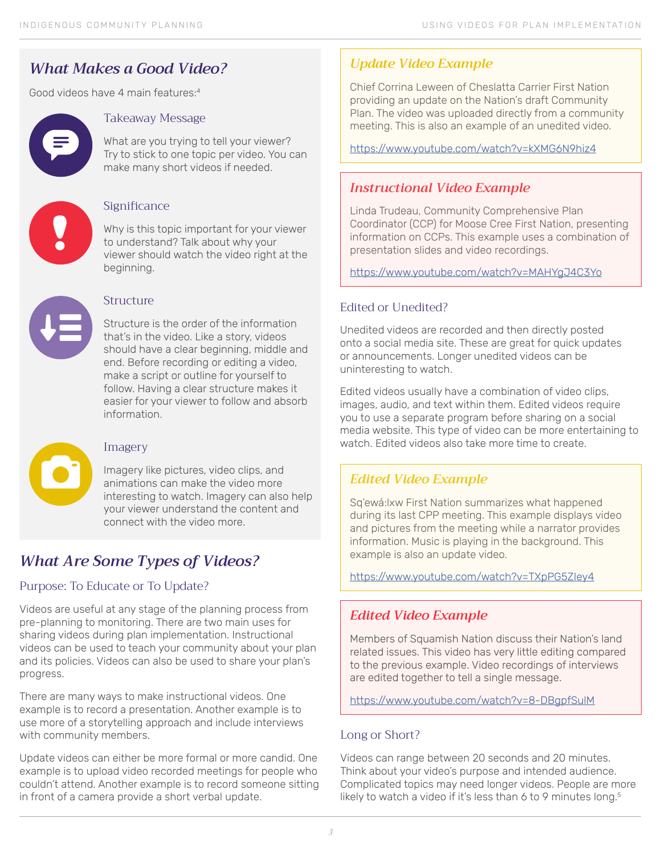# <span id="page-2-0"></span>*What Makes a Good Video?*

Good videos have 4 main features[:4](#page-4-0)



#### Takeaway Message

What are you trying to tell your viewer? Try to stick to one topic per video. You can make many short videos if needed.



#### Significance

Why is this topic important for your viewer to understand? Talk about why your viewer should watch the video right at the beginning.



#### Structure

Structure is the order of the information that's in the video. Like a story, videos should have a clear beginning, middle and end. Before recording or editing a video, make a script or outline for yourself to follow. Having a clear structure makes it easier for your viewer to follow and absorb information.



## Imagery

Imagery like pictures, video clips, and animations can make the video more interesting to watch. Imagery can also help your viewer understand the content and connect with the video more.

# *What Are Some Types of Videos?*

## Purpose: To Educate or To Update?

Videos are useful at any stage of the planning process from pre-planning to monitoring. There are two main uses for sharing videos during plan implementation. Instructional videos can be used to teach your community about your plan and its policies. Videos can also be used to share your plan's progress.

There are many ways to make instructional videos. One example is to record a presentation. Another example is to use more of a storytelling approach and include interviews with community members.

Update videos can either be more formal or more candid. One example is to upload video recorded meetings for people who couldn't attend. Another example is to record someone sitting in front of a camera provide a short verbal update.

## *Update Video Example*

Chief Corrina Leween of Cheslatta Carrier First Nation providing an update on the Nation's draft Community Plan. The video was uploaded directly from a community meeting. This is also an example of an unedited video.

<https://www.youtube.com/watch?v=kXMG6N9hiz4>

## *Instructional Video Example*

Linda Trudeau, Community Comprehensive Plan Coordinator (CCP) for Moose Cree First Nation, presenting information on CCPs. This example uses a combination of presentation slides and video recordings.

<https://www.youtube.com/watch?v=MAHYgJ4C3Yo>

## Edited or Unedited?

Unedited videos are recorded and then directly posted onto a social media site. These are great for quick updates or announcements. Longer unedited videos can be uninteresting to watch.

Edited videos usually have a combination of video clips, images, audio, and text within them. Edited videos require you to use a separate program before sharing on a social media website. This type of video can be more entertaining to watch. Edited videos also take more time to create.

## *Edited Video Example*

Sq'ewá:lxw First Nation summarizes what happened during its last CPP meeting. This example displays video and pictures from the meeting while a narrator provides information. Music is playing in the background. This example is also an update video.

<https://www.youtube.com/watch?v=TXpPG5ZIey4>

## *Edited Video Example*

Members of Squamish Nation discuss their Nation's land related issues. This video has very little editing compared to the previous example. Video recordings of interviews are edited together to tell a single message.

<https://www.youtube.com/watch?v=8-DBgpfSulM>

#### Long or Short?

Videos can range between 20 seconds and 20 minutes. Think about your video's purpose and intended audience. Complicated topics may need longer videos. People are more likely to watch a video if it's less than 6 to 9 minutes long.<sup>5</sup>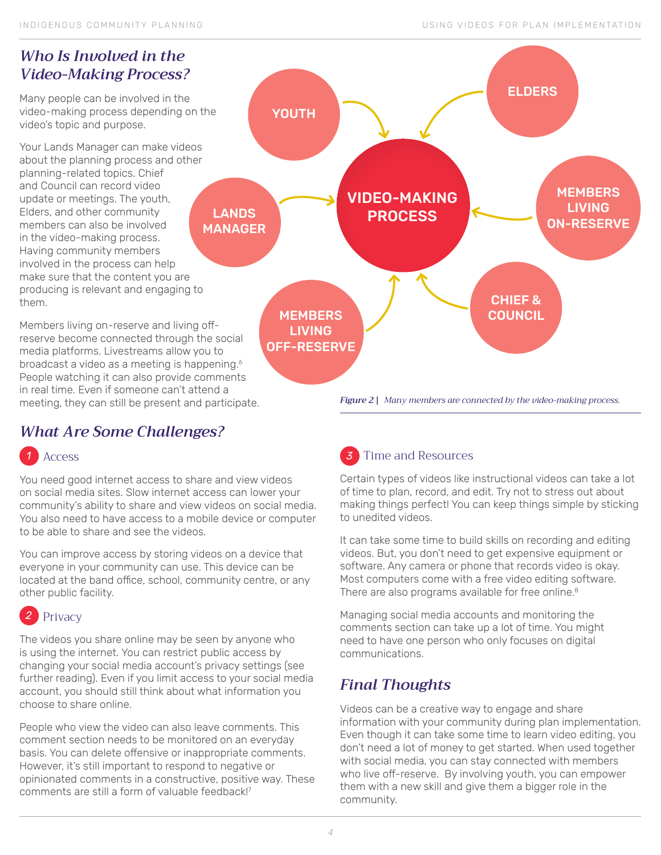# <span id="page-3-0"></span>*Who Is Involved in the Video-Making Process?*

Many people can be involved in the video-making process depending on the video's topic and purpose.

Your Lands Manager can make videos about the planning process and other planning-related topics. Chief and Council can record video update or meetings. The youth, Elders, and other community members can also be involved in the video-making process. Having community members involved in the process can help make sure that the content you are producing is relevant and engaging to them.

Members living on-reserve and living offreserve become connected through the social media platforms. Livestreams allow you to broadcast a video as a meeting is happening.<sup>6</sup> People watching it can also provide comments in real time. Even if someone can't attend a meeting, they can still be present and participate.

# *What Are Some Challenges?*

# *1 3* Access

You need good internet access to share and view videos on social media sites. Slow internet access can lower your community's ability to share and view videos on social media. You also need to have access to a mobile device or computer to be able to share and see the videos.

You can improve access by storing videos on a device that everyone in your community can use. This device can be located at the band office, school, community centre, or any other public facility.

#### *2* Privacy

The videos you share online may be seen by anyone who is using the internet. You can restrict public access by changing your social media account's privacy settings (see further reading). Even if you limit access to your social media account, you should still think about what information you choose to share online.

People who view the video can also leave comments. This comment section needs to be monitored on an everyday basis. You can delete offensive or inappropriate comments. However, it's still important to respond to negative or opinionated comments in a constructive, positive way. These comments are still a form of valuable feedback!<sup>7</sup>



Time and Resources

Certain types of videos like instructional videos can take a lot of time to plan, record, and edit. Try not to stress out about making things perfect! You can keep things simple by sticking to unedited videos.

It can take some time to build skills on recording and editing videos. But, you don't need to get expensive equipment or software. Any camera or phone that records video is okay. Most computers come with a free video editing software. There are also programs available for free online.<sup>8</sup>

Managing social media accounts and monitoring the comments section can take up a lot of time. You might need to have one person who only focuses on digital communications.

# *Final Thoughts*

Videos can be a creative way to engage and share information with your community during plan implementation. Even though it can take some time to learn video editing, you don't need a lot of money to get started. When used together with social media, you can stay connected with members who live off-reserve. By involving youth, you can empower them with a new skill and give them a bigger role in the community.